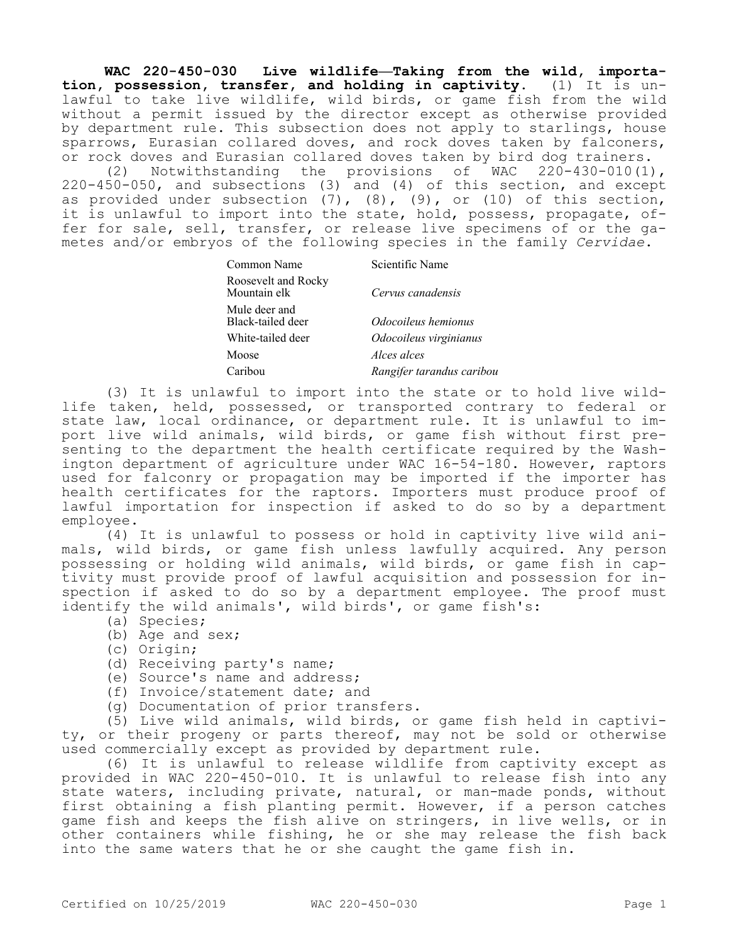**WAC 220-450-030 Live wildlife—Taking from the wild, importation, possession, transfer, and holding in captivity.** (1) It is unlawful to take live wildlife, wild birds, or game fish from the wild without a permit issued by the director except as otherwise provided by department rule. This subsection does not apply to starlings, house sparrows, Eurasian collared doves, and rock doves taken by falconers, or rock doves and Eurasian collared doves taken by bird dog trainers.

(2) Notwithstanding the provisions of WAC 220-430-010(1), 220-450-050, and subsections (3) and (4) of this section, and except as provided under subsection  $(7)$ ,  $(8)$ ,  $(9)$ , or  $(10)$  of this section, it is unlawful to import into the state, hold, possess, propagate, offer for sale, sell, transfer, or release live specimens of or the gametes and/or embryos of the following species in the family *Cervidae*.

| Common Name                         | Scientific Name           |
|-------------------------------------|---------------------------|
| Roosevelt and Rocky<br>Mountain elk | Cervus canadensis         |
| Mule deer and<br>Black-tailed deer  | Odocoileus hemionus       |
| White-tailed deer                   | Odocoileus virginianus    |
| Moose                               | Alces alces               |
| Caribou                             | Rangifer tarandus caribou |

(3) It is unlawful to import into the state or to hold live wildlife taken, held, possessed, or transported contrary to federal or state law, local ordinance, or department rule. It is unlawful to import live wild animals, wild birds, or game fish without first presenting to the department the health certificate required by the Washington department of agriculture under WAC 16-54-180. However, raptors used for falconry or propagation may be imported if the importer has health certificates for the raptors. Importers must produce proof of lawful importation for inspection if asked to do so by a department employee.

(4) It is unlawful to possess or hold in captivity live wild animals, wild birds, or game fish unless lawfully acquired. Any person possessing or holding wild animals, wild birds, or game fish in captivity must provide proof of lawful acquisition and possession for inspection if asked to do so by a department employee. The proof must identify the wild animals', wild birds', or game fish's:

- (a) Species;
- (b) Age and sex;
- (c) Origin;
- (d) Receiving party's name;
- (e) Source's name and address;
- (f) Invoice/statement date; and
- (g) Documentation of prior transfers.

(5) Live wild animals, wild birds, or game fish held in captivity, or their progeny or parts thereof, may not be sold or otherwise used commercially except as provided by department rule.

(6) It is unlawful to release wildlife from captivity except as provided in WAC 220-450-010. It is unlawful to release fish into any state waters, including private, natural, or man-made ponds, without first obtaining a fish planting permit. However, if a person catches game fish and keeps the fish alive on stringers, in live wells, or in other containers while fishing, he or she may release the fish back into the same waters that he or she caught the game fish in.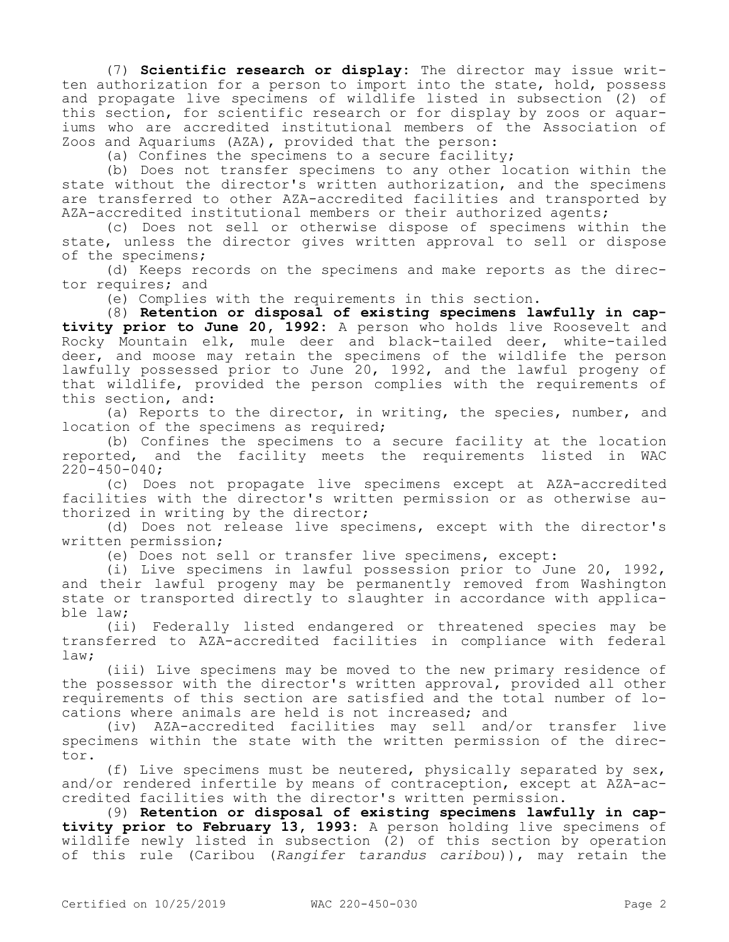(7) **Scientific research or display:** The director may issue written authorization for a person to import into the state, hold, possess and propagate live specimens of wildlife listed in subsection (2) of this section, for scientific research or for display by zoos or aquariums who are accredited institutional members of the Association of Zoos and Aquariums (AZA), provided that the person:

(a) Confines the specimens to a secure facility;

(b) Does not transfer specimens to any other location within the state without the director's written authorization, and the specimens are transferred to other AZA-accredited facilities and transported by AZA-accredited institutional members or their authorized agents;

(c) Does not sell or otherwise dispose of specimens within the state, unless the director gives written approval to sell or dispose of the specimens;

(d) Keeps records on the specimens and make reports as the director requires; and

(e) Complies with the requirements in this section.

(8) **Retention or disposal of existing specimens lawfully in captivity prior to June 20, 1992:** A person who holds live Roosevelt and Rocky Mountain elk, mule deer and black-tailed deer, white-tailed deer, and moose may retain the specimens of the wildlife the person lawfully possessed prior to June 20, 1992, and the lawful progeny of that wildlife, provided the person complies with the requirements of this section, and:

(a) Reports to the director, in writing, the species, number, and location of the specimens as required;

(b) Confines the specimens to a secure facility at the location reported, and the facility meets the requirements listed in WAC 220-450-040;

(c) Does not propagate live specimens except at AZA-accredited facilities with the director's written permission or as otherwise authorized in writing by the director;

(d) Does not release live specimens, except with the director's written permission;

(e) Does not sell or transfer live specimens, except:

(i) Live specimens in lawful possession prior to June 20, 1992, and their lawful progeny may be permanently removed from Washington state or transported directly to slaughter in accordance with applicable law;

(ii) Federally listed endangered or threatened species may be transferred to AZA-accredited facilities in compliance with federal law;

(iii) Live specimens may be moved to the new primary residence of the possessor with the director's written approval, provided all other requirements of this section are satisfied and the total number of locations where animals are held is not increased; and

(iv) AZA-accredited facilities may sell and/or transfer live specimens within the state with the written permission of the director.

(f) Live specimens must be neutered, physically separated by sex, and/or rendered infertile by means of contraception, except at AZA-accredited facilities with the director's written permission.

(9) **Retention or disposal of existing specimens lawfully in captivity prior to February 13, 1993:** A person holding live specimens of wildlife newly listed in subsection (2) of this section by operation of this rule (Caribou (*Rangifer tarandus caribou*)), may retain the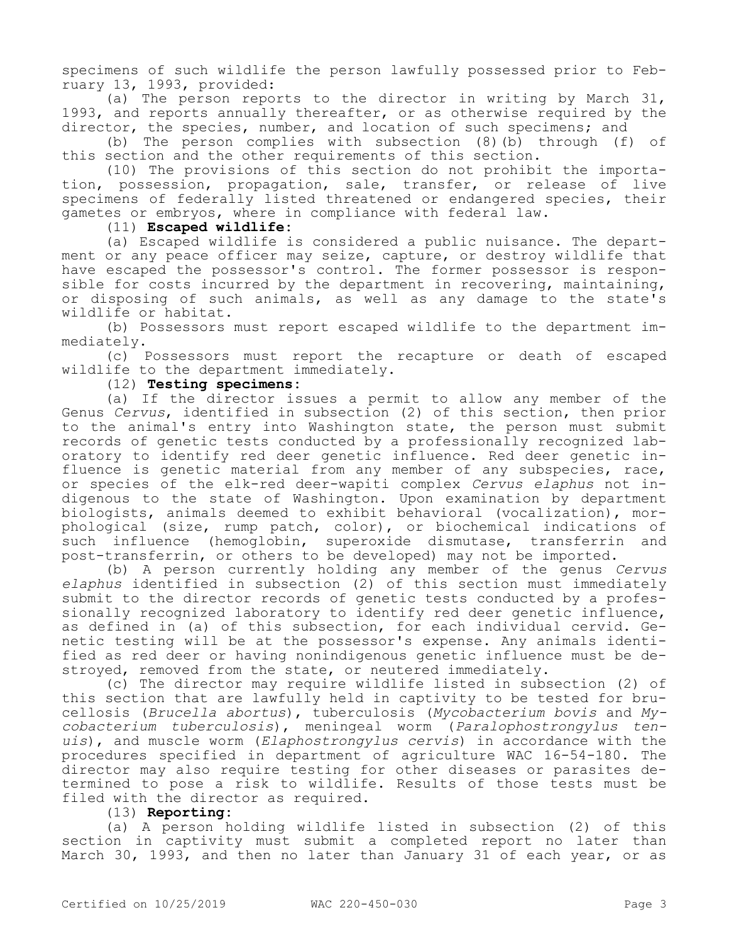specimens of such wildlife the person lawfully possessed prior to February 13, 1993, provided:

(a) The person reports to the director in writing by March 31, 1993, and reports annually thereafter, or as otherwise required by the director, the species, number, and location of such specimens; and

(b) The person complies with subsection (8)(b) through (f) of this section and the other requirements of this section.

(10) The provisions of this section do not prohibit the importation, possession, propagation, sale, transfer, or release of live specimens of federally listed threatened or endangered species, their gametes or embryos, where in compliance with federal law.

## (11) **Escaped wildlife:**

(a) Escaped wildlife is considered a public nuisance. The department or any peace officer may seize, capture, or destroy wildlife that have escaped the possessor's control. The former possessor is responsible for costs incurred by the department in recovering, maintaining, or disposing of such animals, as well as any damage to the state's wildlife or habitat.

(b) Possessors must report escaped wildlife to the department immediately.

(c) Possessors must report the recapture or death of escaped wildlife to the department immediately.

## (12) **Testing specimens:**

(a) If the director issues a permit to allow any member of the Genus *Cervus*, identified in subsection (2) of this section, then prior to the animal's entry into Washington state, the person must submit records of genetic tests conducted by a professionally recognized laboratory to identify red deer genetic influence. Red deer genetic influence is genetic material from any member of any subspecies, race, or species of the elk-red deer-wapiti complex *Cervus elaphus* not indigenous to the state of Washington. Upon examination by department biologists, animals deemed to exhibit behavioral (vocalization), morphological (size, rump patch, color), or biochemical indications of such influence (hemoglobin, superoxide dismutase, transferrin and post-transferrin, or others to be developed) may not be imported.

(b) A person currently holding any member of the genus *Cervus elaphus* identified in subsection (2) of this section must immediately submit to the director records of genetic tests conducted by a professionally recognized laboratory to identify red deer genetic influence, as defined in (a) of this subsection, for each individual cervid. Genetic testing will be at the possessor's expense. Any animals identified as red deer or having nonindigenous genetic influence must be destroyed, removed from the state, or neutered immediately.

(c) The director may require wildlife listed in subsection (2) of this section that are lawfully held in captivity to be tested for brucellosis (*Brucella abortus*), tuberculosis (*Mycobacterium bovis* and *Mycobacterium tuberculosis*), meningeal worm (*Paralophostrongylus tenuis*), and muscle worm (*Elaphostrongylus cervis*) in accordance with the procedures specified in department of agriculture WAC 16-54-180. The director may also require testing for other diseases or parasites determined to pose a risk to wildlife. Results of those tests must be filed with the director as required.

## (13) **Reporting:**

(a) A person holding wildlife listed in subsection (2) of this section in captivity must submit a completed report no later than March 30, 1993, and then no later than January 31 of each year, or as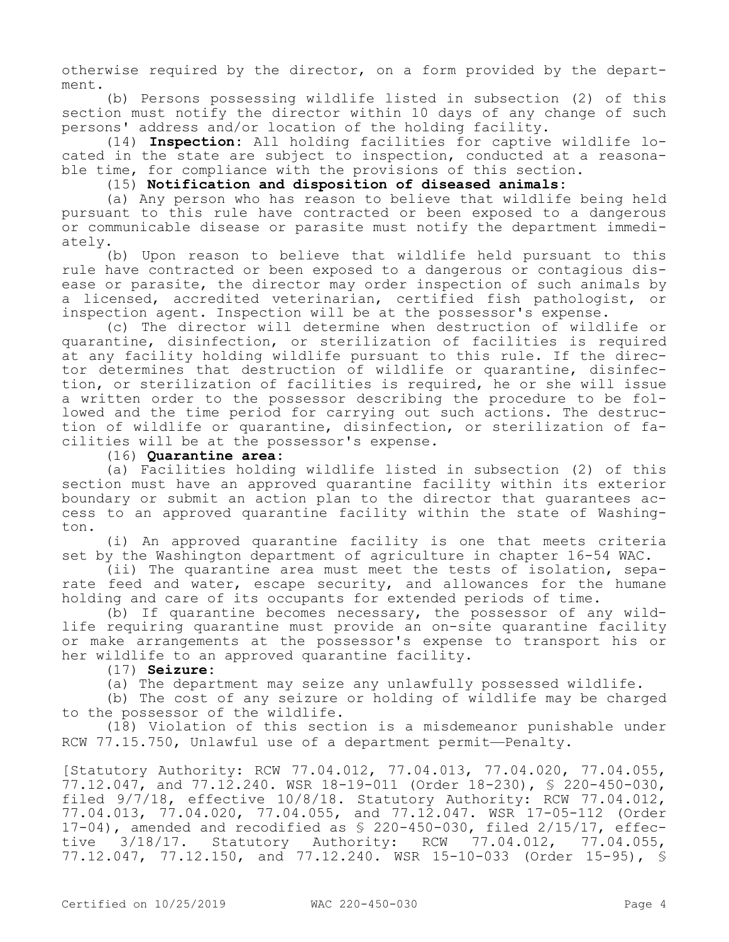otherwise required by the director, on a form provided by the department.

(b) Persons possessing wildlife listed in subsection (2) of this section must notify the director within 10 days of any change of such persons' address and/or location of the holding facility.

(14) **Inspection:** All holding facilities for captive wildlife located in the state are subject to inspection, conducted at a reasonable time, for compliance with the provisions of this section.

(15) **Notification and disposition of diseased animals:**

(a) Any person who has reason to believe that wildlife being held pursuant to this rule have contracted or been exposed to a dangerous or communicable disease or parasite must notify the department immediately.

(b) Upon reason to believe that wildlife held pursuant to this rule have contracted or been exposed to a dangerous or contagious disease or parasite, the director may order inspection of such animals by a licensed, accredited veterinarian, certified fish pathologist, or inspection agent. Inspection will be at the possessor's expense.

(c) The director will determine when destruction of wildlife or quarantine, disinfection, or sterilization of facilities is required at any facility holding wildlife pursuant to this rule. If the director determines that destruction of wildlife or quarantine, disinfection, or sterilization of facilities is required, he or she will issue a written order to the possessor describing the procedure to be followed and the time period for carrying out such actions. The destruction of wildlife or quarantine, disinfection, or sterilization of facilities will be at the possessor's expense.

## (16) **Quarantine area:**

(a) Facilities holding wildlife listed in subsection (2) of this section must have an approved quarantine facility within its exterior boundary or submit an action plan to the director that guarantees access to an approved quarantine facility within the state of Washington.

(i) An approved quarantine facility is one that meets criteria set by the Washington department of agriculture in chapter 16-54 WAC.

(ii) The quarantine area must meet the tests of isolation, separate feed and water, escape security, and allowances for the humane holding and care of its occupants for extended periods of time.

(b) If quarantine becomes necessary, the possessor of any wildlife requiring quarantine must provide an on-site quarantine facility or make arrangements at the possessor's expense to transport his or her wildlife to an approved quarantine facility.

(17) **Seizure:**

(a) The department may seize any unlawfully possessed wildlife.

(b) The cost of any seizure or holding of wildlife may be charged to the possessor of the wildlife.

(18) Violation of this section is a misdemeanor punishable under RCW 77.15.750, Unlawful use of a department permit—Penalty.

[Statutory Authority: RCW 77.04.012, 77.04.013, 77.04.020, 77.04.055, 77.12.047, and 77.12.240. WSR 18-19-011 (Order 18-230), § 220-450-030, filed 9/7/18, effective 10/8/18. Statutory Authority: RCW 77.04.012, 77.04.013, 77.04.020, 77.04.055, and 77.12.047. WSR 17-05-112 (Order 17-04), amended and recodified as § 220-450-030, filed 2/15/17, effective 3/18/17. Statutory Authority: RCW 77.04.012, 77.04.055, 77.12.047, 77.12.150, and 77.12.240. WSR 15-10-033 (Order 15-95), §